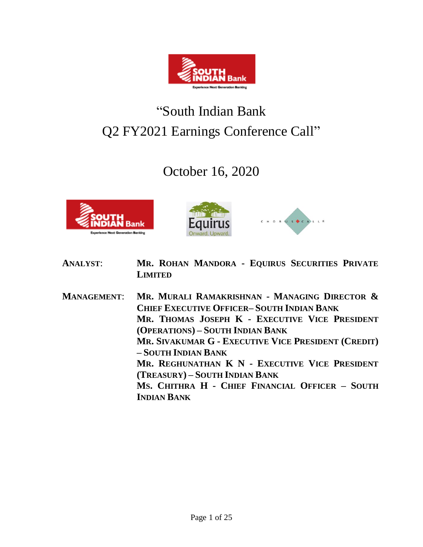

# "South Indian Bank Q2 FY2021 Earnings Conference Call"

## October 16, 2020







- **ANALYST**: **MR. ROHAN MANDORA - EQUIRUS SECURITIES PRIVATE LIMITED**
- **MANAGEMENT**: **MR. MURALI RAMAKRISHNAN - MANAGING DIRECTOR & CHIEF EXECUTIVE OFFICER– SOUTH INDIAN BANK MR. THOMAS JOSEPH K - EXECUTIVE VICE PRESIDENT (OPERATIONS) – SOUTH INDIAN BANK MR. SIVAKUMAR G - EXECUTIVE VICE PRESIDENT (CREDIT) – SOUTH INDIAN BANK MR. REGHUNATHAN K N - EXECUTIVE VICE PRESIDENT (TREASURY) – SOUTH INDIAN BANK MS. CHITHRA H - CHIEF FINANCIAL OFFICER – SOUTH INDIAN BANK**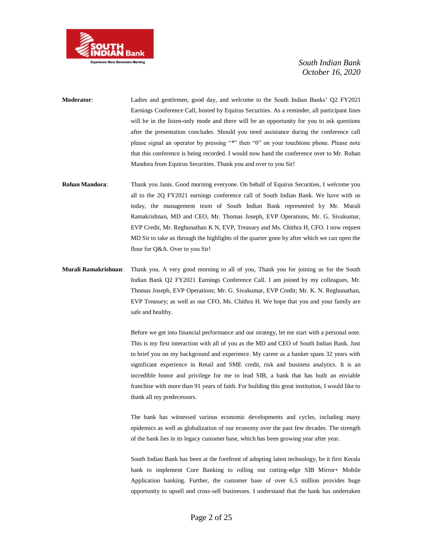

- **Moderator**: Ladies and gentlemen, good day, and welcome to the South Indian Banks' Q2 FY2021 Earnings Conference Call, hosted by Equirus Securities. As a reminder, all participant lines will be in the listen-only mode and there will be an opportunity for you to ask questions after the presentation concludes. Should you need assistance during the conference call please signal an operator by pressing "\*" then "0" on your touchtone phone. Please note that this conference is being recorded. I would now hand the conference over to Mr. Rohan Mandora from Equirus Securities. Thank you and over to you Sir!
- **Rohan Mandora**: Thank you Janis. Good morning everyone. On behalf of Equirus Securities, I welcome you all to the 2Q FY2021 earnings conference call of South Indian Bank. We have with us today, the management team of South Indian Bank represented by Mr. Murali Ramakrishnan, MD and CEO, Mr. Thomas Joseph, EVP Operations, Mr. G. Sivakumar, EVP Credit, Mr. Reghunathan K N, EVP, Treasury and Ms. Chithra H, CFO. I now request MD Sir to take us through the highlights of the quarter gone by after which we can open the floor for Q&A. Over to you Sir!
- **Murali Ramakrishnan**: Thank you. A very good morning to all of you, Thank you for joining us for the South Indian Bank Q2 FY2021 Earnings Conference Call. I am joined by my colleagues, Mr. Thomas Joseph, EVP Operations; Mr. G. Sivakumar, EVP Credit; Mr. K. N. Reghunathan, EVP Treasury; as well as our CFO, Ms. Chithra H. We hope that you and your family are safe and healthy.

Before we get into financial performance and our strategy, let me start with a personal note. This is my first interaction with all of you as the MD and CEO of South Indian Bank. Just to brief you on my background and experience. My career as a banker spans 32 years with significant experience in Retail and SME credit, risk and business analytics. It is an incredible honor and privilege for me to lead SIB, a bank that has built an enviable franchise with more than 91 years of faith. For building this great institution, I would like to thank all my predecessors.

The bank has witnessed various economic developments and cycles, including many epidemics as well as globalization of our economy over the past few decades. The strength of the bank lies in its legacy customer base, which has been growing year after year.

South Indian Bank has been at the forefront of adopting latest technology, be it first Kerala bank to implement Core Banking to rolling out cutting-edge SIB Mirror+ Mobile Application banking. Further, the customer base of over 6.5 million provides huge opportunity to upsell and cross-sell businesses. I understand that the bank has undertaken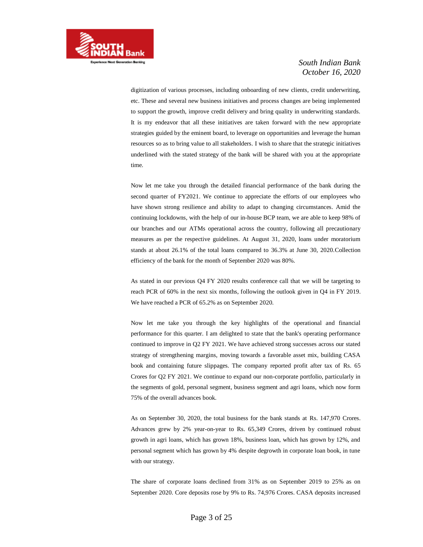

digitization of various processes, including onboarding of new clients, credit underwriting, etc. These and several new business initiatives and process changes are being implemented to support the growth, improve credit delivery and bring quality in underwriting standards. It is my endeavor that all these initiatives are taken forward with the new appropriate strategies guided by the eminent board, to leverage on opportunities and leverage the human resources so as to bring value to all stakeholders. I wish to share that the strategic initiatives underlined with the stated strategy of the bank will be shared with you at the appropriate time.

Now let me take you through the detailed financial performance of the bank during the second quarter of FY2021. We continue to appreciate the efforts of our employees who have shown strong resilience and ability to adapt to changing circumstances. Amid the continuing lockdowns, with the help of our in-house BCP team, we are able to keep 98% of our branches and our ATMs operational across the country, following all precautionary measures as per the respective guidelines. At August 31, 2020, loans under moratorium stands at about 26.1% of the total loans compared to 36.3% at June 30, 2020.Collection efficiency of the bank for the month of September 2020 was 80%.

As stated in our previous Q4 FY 2020 results conference call that we will be targeting to reach PCR of 60% in the next six months, following the outlook given in Q4 in FY 2019. We have reached a PCR of 65.2% as on September 2020.

Now let me take you through the key highlights of the operational and financial performance for this quarter. I am delighted to state that the bank's operating performance continued to improve in Q2 FY 2021. We have achieved strong successes across our stated strategy of strengthening margins, moving towards a favorable asset mix, building CASA book and containing future slippages. The company reported profit after tax of Rs. 65 Crores for Q2 FY 2021. We continue to expand our non-corporate portfolio, particularly in the segments of gold, personal segment, business segment and agri loans, which now form 75% of the overall advances book.

As on September 30, 2020, the total business for the bank stands at Rs. 147,970 Crores. Advances grew by 2% year-on-year to Rs. 65,349 Crores, driven by continued robust growth in agri loans, which has grown 18%, business loan, which has grown by 12%, and personal segment which has grown by 4% despite degrowth in corporate loan book, in tune with our strategy.

The share of corporate loans declined from 31% as on September 2019 to 25% as on September 2020. Core deposits rose by 9% to Rs. 74,976 Crores. CASA deposits increased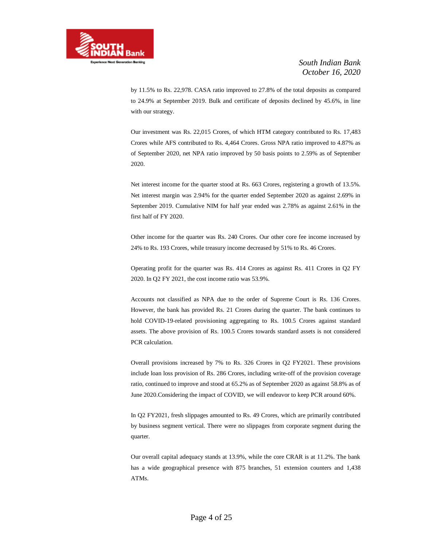

by 11.5% to Rs. 22,978. CASA ratio improved to 27.8% of the total deposits as compared to 24.9% at September 2019. Bulk and certificate of deposits declined by 45.6%, in line with our strategy.

Our investment was Rs. 22,015 Crores, of which HTM category contributed to Rs. 17,483 Crores while AFS contributed to Rs. 4,464 Crores. Gross NPA ratio improved to 4.87% as of September 2020, net NPA ratio improved by 50 basis points to 2.59% as of September 2020.

Net interest income for the quarter stood at Rs. 663 Crores, registering a growth of 13.5%. Net interest margin was 2.94% for the quarter ended September 2020 as against 2.69% in September 2019. Cumulative NIM for half year ended was 2.78% as against 2.61% in the first half of FY 2020.

Other income for the quarter was Rs. 240 Crores. Our other core fee income increased by 24% to Rs. 193 Crores, while treasury income decreased by 51% to Rs. 46 Crores.

Operating profit for the quarter was Rs. 414 Crores as against Rs. 411 Crores in Q2 FY 2020. In Q2 FY 2021, the cost income ratio was 53.9%.

Accounts not classified as NPA due to the order of Supreme Court is Rs. 136 Crores. However, the bank has provided Rs. 21 Crores during the quarter. The bank continues to hold COVID-19-related provisioning aggregating to Rs. 100.5 Crores against standard assets. The above provision of Rs. 100.5 Crores towards standard assets is not considered PCR calculation.

Overall provisions increased by 7% to Rs. 326 Crores in Q2 FY2021. These provisions include loan loss provision of Rs. 286 Crores, including write-off of the provision coverage ratio, continued to improve and stood at 65.2% as of September 2020 as against 58.8% as of June 2020.Considering the impact of COVID, we will endeavor to keep PCR around 60%.

In Q2 FY2021, fresh slippages amounted to Rs. 49 Crores, which are primarily contributed by business segment vertical. There were no slippages from corporate segment during the quarter.

Our overall capital adequacy stands at 13.9%, while the core CRAR is at 11.2%. The bank has a wide geographical presence with 875 branches, 51 extension counters and 1,438 ATMs.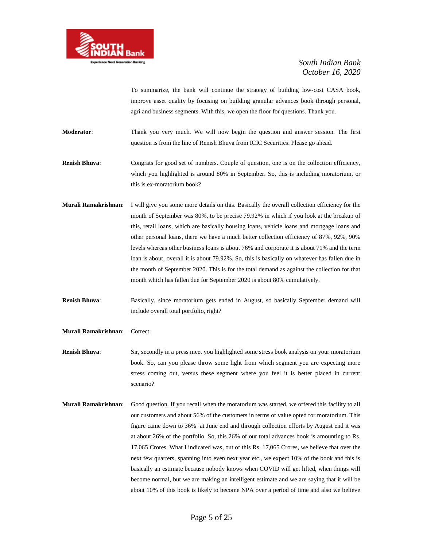

To summarize, the bank will continue the strategy of building low-cost CASA book, improve asset quality by focusing on building granular advances book through personal, agri and business segments. With this, we open the floor for questions. Thank you.

**Moderator**: Thank you very much. We will now begin the question and answer session. The first question is from the line of Renish Bhuva from ICIC Securities. Please go ahead.

**Renish Bhuva**: Congrats for good set of numbers. Couple of question, one is on the collection efficiency, which you highlighted is around 80% in September. So, this is including moratorium, or this is ex-moratorium book?

**Murali Ramakrishnan**: I will give you some more details on this. Basically the overall collection efficiency for the month of September was 80%, to be precise 79.92% in which if you look at the breakup of this, retail loans, which are basically housing loans, vehicle loans and mortgage loans and other personal loans, there we have a much better collection efficiency of 87%, 92%, 90% levels whereas other business loans is about 76% and corporate it is about 71% and the term loan is about, overall it is about 79.92%. So, this is basically on whatever has fallen due in the month of September 2020. This is for the total demand as against the collection for that month which has fallen due for September 2020 is about 80% cumulatively.

**Renish Bhuva**: Basically, since moratorium gets ended in August, so basically September demand will include overall total portfolio, right?

**Murali Ramakrishnan**: Correct.

**Renish Bhuva:** Sir, secondly in a press meet you highlighted some stress book analysis on your moratorium book. So, can you please throw some light from which segment you are expecting more stress coming out, versus these segment where you feel it is better placed in current scenario?

**Murali Ramakrishnan**: Good question. If you recall when the moratorium was started, we offered this facility to all our customers and about 56% of the customers in terms of value opted for moratorium. This figure came down to 36% at June end and through collection efforts by August end it was at about 26% of the portfolio. So, this 26% of our total advances book is amounting to Rs. 17,065 Crores. What I indicated was, out of this Rs. 17,065 Crores, we believe that over the next few quarters, spanning into even next year etc., we expect 10% of the book and this is basically an estimate because nobody knows when COVID will get lifted, when things will become normal, but we are making an intelligent estimate and we are saying that it will be about 10% of this book is likely to become NPA over a period of time and also we believe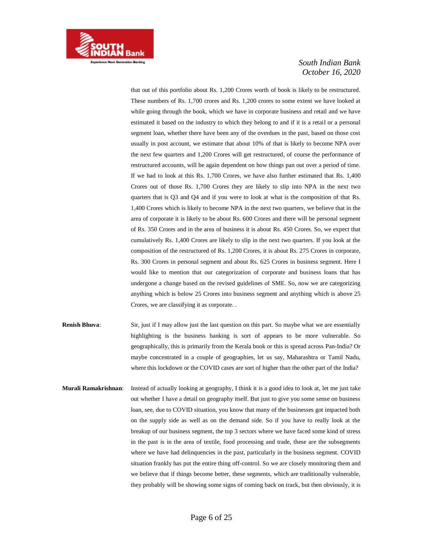

that out of this portfolio about Rs. 1,200 Crores worth of book is likely to be restructured. These numbers of Rs. 1,700 crores and Rs. 1,200 crores to some extent we have looked at while going through the book, which we have in corporate business and retail and we have estimated it based on the industry to which they belong to and if it is a retail or a personal segment loan, whether there have been any of the overdues in the past, based on those cost usually in post account, we estimate that about 10% of that is likely to become NPA over the next few quarters and 1,200 Crores will get restructured, of course the performance of restructured accounts, will be again dependent on how things pan out over a period of time. If we had to look at this Rs. 1,700 Crores, we have also further estimated that Rs. 1,400 Crores out of those Rs. 1,700 Crores they are likely to slip into NPA in the next two quarters that is Q3 and Q4 and if you were to look at what is the composition of that Rs. 1,400 Crores which is likely to become NPA in the next two quarters, we believe that in the area of corporate it is likely to be about Rs. 600 Crores and there will be personal segment of Rs. 350 Crores and in the area of business it is about Rs. 450 Crores. So, we expect that cumulatively Rs. 1,400 Crores are likely to slip in the next two quarters. If you look at the composition of the restructured of Rs. 1,200 Crores, it is about Rs. 275 Crores in corporate, Rs. 300 Crores in personal segment and about Rs. 625 Crores in business segment. Here I would like to mention that our categorization of corporate and business loans that has undergone a change based on the revised guidelines of SME. So, now we are categorizing anything which is below 25 Crores into business segment and anything which is above 25 Crores, we are classifying it as corporate. .

- **Renish Bhuva:** Sir, just if I may allow just the last question on this part. So maybe what we are essentially highlighting is the business banking is sort of appears to be more vulnerable. So geographically, this is primarily from the Kerala book or this is spread across Pan-India? Or maybe concentrated in a couple of geographies, let us say, Maharashtra or Tamil Nadu, where this lockdown or the COVID cases are sort of higher than the other part of the India?
- **Murali Ramakrishnan**: Instead of actually looking at geography, I think it is a good idea to look at, let me just take out whether I have a detail on geography itself. But just to give you some sense on business loan, see, due to COVID situation, you know that many of the businesses got impacted both on the supply side as well as on the demand side. So if you have to really look at the breakup of our business segment, the top 3 sectors where we have faced some kind of stress in the past is in the area of textile, food processing and trade, these are the subsegments where we have had delinquencies in the past, particularly in the business segment. COVID situation frankly has put the entire thing off-control. So we are closely monitoring them and we believe that if things become better, these segments, which are traditionally vulnerable, they probably will be showing some signs of coming back on track, but then obviously, it is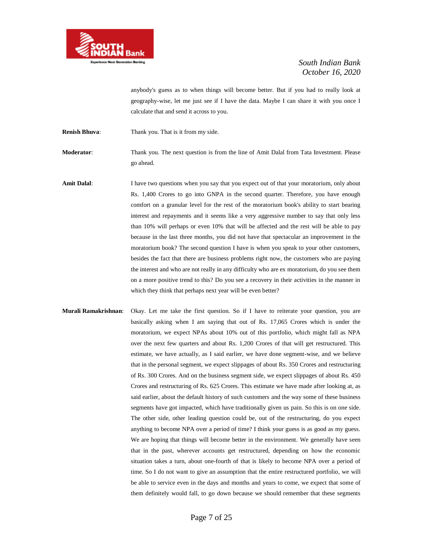

anybody's guess as to when things will become better. But if you had to really look at geography-wise, let me just see if I have the data. Maybe I can share it with you once I calculate that and send it across to you.

**Renish Bhuva**: Thank you. That is it from my side.

**Moderator**: Thank you. The next question is from the line of Amit Dalal from Tata Investment. Please go ahead.

- Amit Dalal: I have two questions when you say that you expect out of that your moratorium, only about Rs. 1,400 Crores to go into GNPA in the second quarter. Therefore, you have enough comfort on a granular level for the rest of the moratorium book's ability to start bearing interest and repayments and it seems like a very aggressive number to say that only less than 10% will perhaps or even 10% that will be affected and the rest will be able to pay because in the last three months, you did not have that spectacular an improvement in the moratorium book? The second question I have is when you speak to your other customers, besides the fact that there are business problems right now, the customers who are paying the interest and who are not really in any difficulty who are ex moratorium, do you see them on a more positive trend to this? Do you see a recovery in their activities in the manner in which they think that perhaps next year will be even better?
- **Murali Ramakrishnan**: Okay. Let me take the first question. So if I have to reiterate your question, you are basically asking when I am saying that out of Rs. 17,065 Crores which is under the moratorium, we expect NPAs about 10% out of this portfolio, which might fall as NPA over the next few quarters and about Rs. 1,200 Crores of that will get restructured. This estimate, we have actually, as I said earlier, we have done segment-wise, and we believe that in the personal segment, we expect slippages of about Rs. 350 Crores and restructuring of Rs. 300 Crores. And on the business segment side, we expect slippages of about Rs. 450 Crores and restructuring of Rs. 625 Crores. This estimate we have made after looking at, as said earlier, about the default history of such customers and the way some of these business segments have got impacted, which have traditionally given us pain. So this is on one side. The other side, other leading question could be, out of the restructuring, do you expect anything to become NPA over a period of time? I think your guess is as good as my guess. We are hoping that things will become better in the environment. We generally have seen that in the past, wherever accounts get restructured, depending on how the economic situation takes a turn, about one-fourth of that is likely to become NPA over a period of time. So I do not want to give an assumption that the entire restructured portfolio, we will be able to service even in the days and months and years to come, we expect that some of them definitely would fall, to go down because we should remember that these segments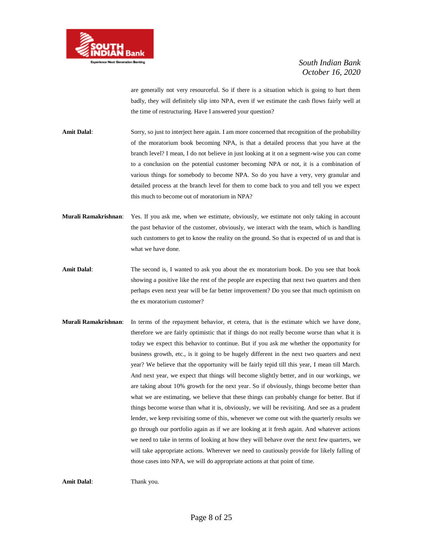

are generally not very resourceful. So if there is a situation which is going to hurt them badly, they will definitely slip into NPA, even if we estimate the cash flows fairly well at the time of restructuring. Have I answered your question?

- **Amit Dalal**: Sorry, so just to interject here again. I am more concerned that recognition of the probability of the moratorium book becoming NPA, is that a detailed process that you have at the branch level? I mean, I do not believe in just looking at it on a segment-wise you can come to a conclusion on the potential customer becoming NPA or not, it is a combination of various things for somebody to become NPA. So do you have a very, very granular and detailed process at the branch level for them to come back to you and tell you we expect this much to become out of moratorium in NPA?
- **Murali Ramakrishnan**: Yes. If you ask me, when we estimate, obviously, we estimate not only taking in account the past behavior of the customer, obviously, we interact with the team, which is handling such customers to get to know the reality on the ground. So that is expected of us and that is what we have done.
- **Amit Dalal**: The second is, I wanted to ask you about the ex moratorium book. Do you see that book showing a positive like the rest of the people are expecting that next two quarters and then perhaps even next year will be far better improvement? Do you see that much optimism on the ex moratorium customer?
- **Murali Ramakrishnan**: In terms of the repayment behavior, et cetera, that is the estimate which we have done, therefore we are fairly optimistic that if things do not really become worse than what it is today we expect this behavior to continue. But if you ask me whether the opportunity for business growth, etc., is it going to be hugely different in the next two quarters and next year? We believe that the opportunity will be fairly tepid till this year, I mean till March. And next year, we expect that things will become slightly better, and in our workings, we are taking about 10% growth for the next year. So if obviously, things become better than what we are estimating, we believe that these things can probably change for better. But if things become worse than what it is, obviously, we will be revisiting. And see as a prudent lender, we keep revisiting some of this, whenever we come out with the quarterly results we go through our portfolio again as if we are looking at it fresh again. And whatever actions we need to take in terms of looking at how they will behave over the next few quarters, we will take appropriate actions. Wherever we need to cautiously provide for likely falling of those cases into NPA, we will do appropriate actions at that point of time.

**Amit Dalal**: Thank you.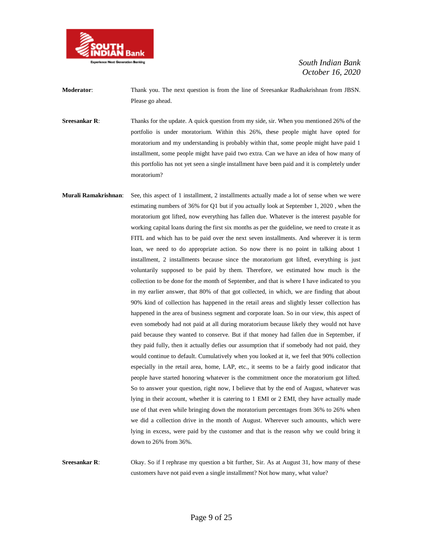

**Moderator**: Thank you. The next question is from the line of Sreesankar Radhakrishnan from JBSN. Please go ahead.

**Sreesankar R:** Thanks for the update. A quick question from my side, sir. When you mentioned 26% of the portfolio is under moratorium. Within this 26%, these people might have opted for moratorium and my understanding is probably within that, some people might have paid 1 installment, some people might have paid two extra. Can we have an idea of how many of this portfolio has not yet seen a single installment have been paid and it is completely under moratorium?

**Murali Ramakrishnan**: See, this aspect of 1 installment, 2 installments actually made a lot of sense when we were estimating numbers of 36% for Q1 but if you actually look at September 1, 2020 , when the moratorium got lifted, now everything has fallen due. Whatever is the interest payable for working capital loans during the first six months as per the guideline, we need to create it as FITL and which has to be paid over the next seven installments. And wherever it is term loan, we need to do appropriate action. So now there is no point in talking about 1 installment, 2 installments because since the moratorium got lifted, everything is just voluntarily supposed to be paid by them. Therefore, we estimated how much is the collection to be done for the month of September, and that is where I have indicated to you in my earlier answer, that 80% of that got collected, in which, we are finding that about 90% kind of collection has happened in the retail areas and slightly lesser collection has happened in the area of business segment and corporate loan. So in our view, this aspect of even somebody had not paid at all during moratorium because likely they would not have paid because they wanted to conserve. But if that money had fallen due in September, if they paid fully, then it actually defies our assumption that if somebody had not paid, they would continue to default. Cumulatively when you looked at it, we feel that 90% collection especially in the retail area, home, LAP, etc., it seems to be a fairly good indicator that people have started honoring whatever is the commitment once the moratorium got lifted. So to answer your question, right now, I believe that by the end of August, whatever was lying in their account, whether it is catering to 1 EMI or 2 EMI, they have actually made use of that even while bringing down the moratorium percentages from 36% to 26% when we did a collection drive in the month of August. Wherever such amounts, which were lying in excess, were paid by the customer and that is the reason why we could bring it down to 26% from 36%.

**Sreesankar R:** Okay. So if I rephrase my question a bit further, Sir. As at August 31, how many of these customers have not paid even a single installment? Not how many, what value?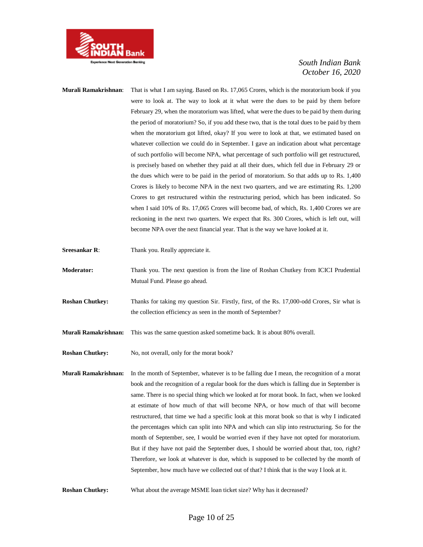

- **Murali Ramakrishnan**: That is what I am saying. Based on Rs. 17,065 Crores, which is the moratorium book if you were to look at. The way to look at it what were the dues to be paid by them before February 29, when the moratorium was lifted, what were the dues to be paid by them during the period of moratorium? So, if you add these two, that is the total dues to be paid by them when the moratorium got lifted, okay? If you were to look at that, we estimated based on whatever collection we could do in September. I gave an indication about what percentage of such portfolio will become NPA, what percentage of such portfolio will get restructured, is precisely based on whether they paid at all their dues, which fell due in February 29 or the dues which were to be paid in the period of moratorium. So that adds up to Rs. 1,400 Crores is likely to become NPA in the next two quarters, and we are estimating Rs. 1,200 Crores to get restructured within the restructuring period, which has been indicated. So when I said 10% of Rs. 17,065 Crores will become bad, of which, Rs. 1,400 Crores we are reckoning in the next two quarters. We expect that Rs. 300 Crores, which is left out, will become NPA over the next financial year. That is the way we have looked at it.
- **Sreesankar R:** Thank you. Really appreciate it.
- **Moderator:** Thank you. The next question is from the line of Roshan Chutkey from ICICI Prudential Mutual Fund. Please go ahead.
- **Roshan Chutkey:** Thanks for taking my question Sir. Firstly, first, of the Rs. 17,000-odd Crores, Sir what is the collection efficiency as seen in the month of September?
- **Murali Ramakrishnan:** This was the same question asked sometime back. It is about 80% overall.
- **Roshan Chutkey:** No, not overall, only for the morat book?
- **Murali Ramakrishnan:** In the month of September, whatever is to be falling due I mean, the recognition of a morat book and the recognition of a regular book for the dues which is falling due in September is same. There is no special thing which we looked at for morat book. In fact, when we looked at estimate of how much of that will become NPA, or how much of that will become restructured, that time we had a specific look at this morat book so that is why I indicated the percentages which can split into NPA and which can slip into restructuring. So for the month of September, see, I would be worried even if they have not opted for moratorium. But if they have not paid the September dues, I should be worried about that, too, right? Therefore, we look at whatever is due, which is supposed to be collected by the month of September, how much have we collected out of that? I think that is the way I look at it.
- **Roshan Chutkey:** What about the average MSME loan ticket size? Why has it decreased?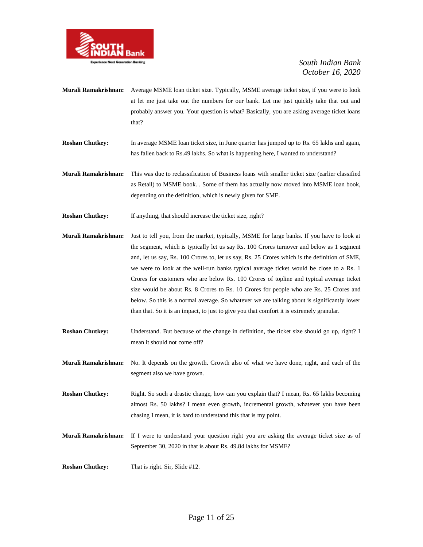

- **Murali Ramakrishnan:** Average MSME loan ticket size. Typically, MSME average ticket size, if you were to look at let me just take out the numbers for our bank. Let me just quickly take that out and probably answer you. Your question is what? Basically, you are asking average ticket loans that?
- **Roshan Chutkey:** In average MSME loan ticket size, in June quarter has jumped up to Rs. 65 lakhs and again, has fallen back to Rs.49 lakhs. So what is happening here, I wanted to understand?
- **Murali Ramakrishnan:** This was due to reclassification of Business loans with smaller ticket size (earlier classified as Retail) to MSME book. . Some of them has actually now moved into MSME loan book, depending on the definition, which is newly given for SME.
- **Roshan Chutkey:** If anything, that should increase the ticket size, right?
- **Murali Ramakrishnan:** Just to tell you, from the market, typically, MSME for large banks. If you have to look at the segment, which is typically let us say Rs. 100 Crores turnover and below as 1 segment and, let us say, Rs. 100 Crores to, let us say, Rs. 25 Crores which is the definition of SME, we were to look at the well-run banks typical average ticket would be close to a Rs. 1 Crores for customers who are below Rs. 100 Crores of topline and typical average ticket size would be about Rs. 8 Crores to Rs. 10 Crores for people who are Rs. 25 Crores and below. So this is a normal average. So whatever we are talking about is significantly lower than that. So it is an impact, to just to give you that comfort it is extremely granular.
- **Roshan Chutkey:** Understand. But because of the change in definition, the ticket size should go up, right? I mean it should not come off?
- **Murali Ramakrishnan:** No. It depends on the growth. Growth also of what we have done, right, and each of the segment also we have grown.
- **Roshan Chutkey:** Right. So such a drastic change, how can you explain that? I mean, Rs. 65 lakhs becoming almost Rs. 50 lakhs? I mean even growth, incremental growth, whatever you have been chasing I mean, it is hard to understand this that is my point.
- **Murali Ramakrishnan:** If I were to understand your question right you are asking the average ticket size as of September 30, 2020 in that is about Rs. 49.84 lakhs for MSME?
- **Roshan Chutkey:** That is right. Sir, Slide #12.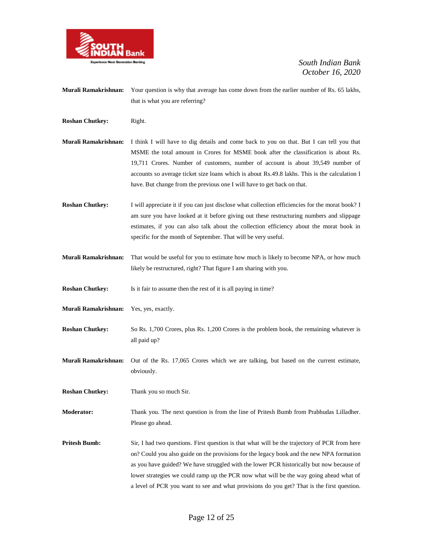

- **Murali Ramakrishnan:** Your question is why that average has come down from the earlier number of Rs. 65 lakhs, that is what you are referring?
- **Roshan Chutkey:** Right.

**Murali Ramakrishnan:** I think I will have to dig details and come back to you on that. But I can tell you that MSME the total amount in Crores for MSME book after the classification is about Rs. 19,711 Crores. Number of customers, number of account is about 39,549 number of accounts so average ticket size loans which is about Rs.49.8 lakhs. This is the calculation I have. But change from the previous one I will have to get back on that.

**Roshan Chutkey:** I will appreciate it if you can just disclose what collection efficiencies for the morat book? I am sure you have looked at it before giving out these restructuring numbers and slippage estimates, if you can also talk about the collection efficiency about the morat book in specific for the month of September. That will be very useful.

**Murali Ramakrishnan:** That would be useful for you to estimate how much is likely to become NPA, or how much likely be restructured, right? That figure I am sharing with you.

**Roshan Chutkey:** Is it fair to assume then the rest of it is all paying in time?

- **Murali Ramakrishnan:** Yes, yes, exactly.
- **Roshan Chutkey:** So Rs. 1,700 Crores, plus Rs. 1,200 Crores is the problem book, the remaining whatever is all paid up?

**Murali Ramakrishnan:** Out of the Rs. 17,065 Crores which we are talking, but based on the current estimate, obviously.

**Roshan Chutkey:** Thank you so much Sir.

**Moderator:** Thank you. The next question is from the line of Pritesh Bumb from Prabhudas Lilladher. Please go ahead.

**Pritesh Bumb:** Sir, I had two questions. First question is that what will be the trajectory of PCR from here on? Could you also guide on the provisions for the legacy book and the new NPA formation as you have guided? We have struggled with the lower PCR historically but now because of lower strategies we could ramp up the PCR now what will be the way going ahead what of a level of PCR you want to see and what provisions do you get? That is the first question.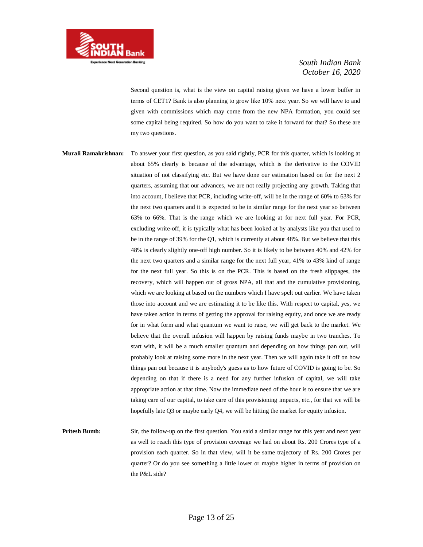

Second question is, what is the view on capital raising given we have a lower buffer in terms of CET1? Bank is also planning to grow like 10% next year. So we will have to and given with commissions which may come from the new NPA formation, you could see some capital being required. So how do you want to take it forward for that? So these are my two questions.

**Murali Ramakrishnan:** To answer your first question, as you said rightly, PCR for this quarter, which is looking at about 65% clearly is because of the advantage, which is the derivative to the COVID situation of not classifying etc. But we have done our estimation based on for the next 2 quarters, assuming that our advances, we are not really projecting any growth. Taking that into account, I believe that PCR, including write-off, will be in the range of 60% to 63% for the next two quarters and it is expected to be in similar range for the next year so between 63% to 66%. That is the range which we are looking at for next full year. For PCR, excluding write-off, it is typically what has been looked at by analysts like you that used to be in the range of 39% for the Q1, which is currently at about 48%. But we believe that this 48% is clearly slightly one-off high number. So it is likely to be between 40% and 42% for the next two quarters and a similar range for the next full year, 41% to 43% kind of range for the next full year. So this is on the PCR. This is based on the fresh slippages, the recovery, which will happen out of gross NPA, all that and the cumulative provisioning, which we are looking at based on the numbers which I have spelt out earlier. We have taken those into account and we are estimating it to be like this. With respect to capital, yes, we have taken action in terms of getting the approval for raising equity, and once we are ready for in what form and what quantum we want to raise, we will get back to the market. We believe that the overall infusion will happen by raising funds maybe in two tranches. To start with, it will be a much smaller quantum and depending on how things pan out, will probably look at raising some more in the next year. Then we will again take it off on how things pan out because it is anybody's guess as to how future of COVID is going to be. So depending on that if there is a need for any further infusion of capital, we will take appropriate action at that time. Now the immediate need of the hour is to ensure that we are taking care of our capital, to take care of this provisioning impacts, etc., for that we will be hopefully late Q3 or maybe early Q4, we will be hitting the market for equity infusion.

**Pritesh Bumb:** Sir, the follow-up on the first question. You said a similar range for this year and next year as well to reach this type of provision coverage we had on about Rs. 200 Crores type of a provision each quarter. So in that view, will it be same trajectory of Rs. 200 Crores per quarter? Or do you see something a little lower or maybe higher in terms of provision on the P&L side?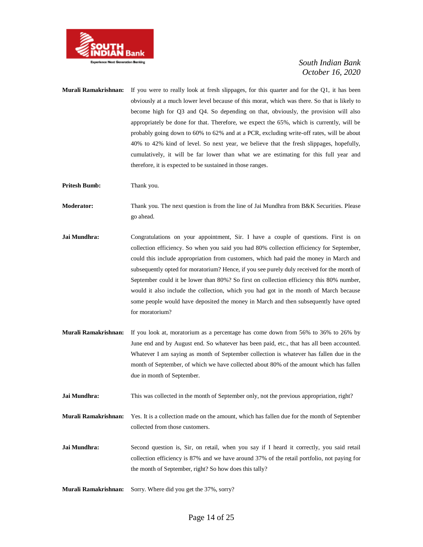

**Murali Ramakrishnan:** If you were to really look at fresh slippages, for this quarter and for the Q1, it has been obviously at a much lower level because of this morat, which was there. So that is likely to become high for Q3 and Q4. So depending on that, obviously, the provision will also appropriately be done for that. Therefore, we expect the 65%, which is currently, will be probably going down to 60% to 62% and at a PCR, excluding write-off rates, will be about 40% to 42% kind of level. So next year, we believe that the fresh slippages, hopefully, cumulatively, it will be far lower than what we are estimating for this full year and therefore, it is expected to be sustained in those ranges.

**Pritesh Bumb:** Thank you.

**Moderator:** Thank you. The next question is from the line of Jai Mundhra from B&K Securities. Please go ahead.

- **Jai Mundhra:** Congratulations on your appointment, Sir. I have a couple of questions. First is on collection efficiency. So when you said you had 80% collection efficiency for September, could this include appropriation from customers, which had paid the money in March and subsequently opted for moratorium? Hence, if you see purely duly received for the month of September could it be lower than 80%? So first on collection efficiency this 80% number, would it also include the collection, which you had got in the month of March because some people would have deposited the money in March and then subsequently have opted for moratorium?
- **Murali Ramakrishnan:** If you look at, moratorium as a percentage has come down from 56% to 36% to 26% by June end and by August end. So whatever has been paid, etc., that has all been accounted. Whatever I am saying as month of September collection is whatever has fallen due in the month of September, of which we have collected about 80% of the amount which has fallen due in month of September.
- **Jai Mundhra:** This was collected in the month of September only, not the previous appropriation, right?
- **Murali Ramakrishnan:** Yes. It is a collection made on the amount, which has fallen due for the month of September collected from those customers.
- Jai Mundhra: Second question is, Sir, on retail, when you say if I heard it correctly, you said retail collection efficiency is 87% and we have around 37% of the retail portfolio, not paying for the month of September, right? So how does this tally?
- **Murali Ramakrishnan:** Sorry. Where did you get the 37%, sorry?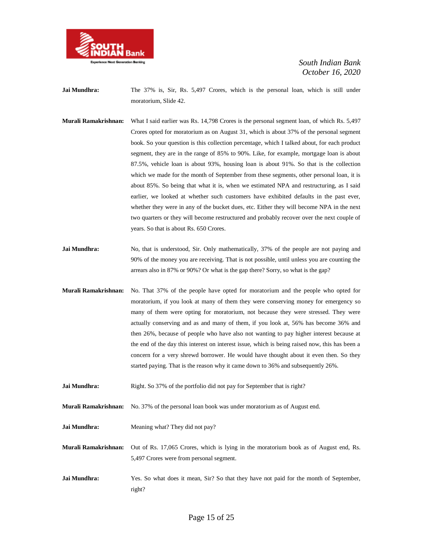

**Jai Mundhra:** The 37% is, Sir, Rs. 5,497 Crores, which is the personal loan, which is still under moratorium, Slide 42.

- **Murali Ramakrishnan:** What I said earlier was Rs. 14,798 Crores is the personal segment loan, of which Rs. 5,497 Crores opted for moratorium as on August 31, which is about 37% of the personal segment book. So your question is this collection percentage, which I talked about, for each product segment, they are in the range of 85% to 90%. Like, for example, mortgage loan is about 87.5%, vehicle loan is about 93%, housing loan is about 91%. So that is the collection which we made for the month of September from these segments, other personal loan, it is about 85%. So being that what it is, when we estimated NPA and restructuring, as I said earlier, we looked at whether such customers have exhibited defaults in the past ever, whether they were in any of the bucket dues, etc. Either they will become NPA in the next two quarters or they will become restructured and probably recover over the next couple of years. So that is about Rs. 650 Crores.
- **Jai Mundhra:** No, that is understood, Sir. Only mathematically, 37% of the people are not paying and 90% of the money you are receiving. That is not possible, until unless you are counting the arrears also in 87% or 90%? Or what is the gap there? Sorry, so what is the gap?
- **Murali Ramakrishnan:** No. That 37% of the people have opted for moratorium and the people who opted for moratorium, if you look at many of them they were conserving money for emergency so many of them were opting for moratorium, not because they were stressed. They were actually conserving and as and many of them, if you look at, 56% has become 36% and then 26%, because of people who have also not wanting to pay higher interest because at the end of the day this interest on interest issue, which is being raised now, this has been a concern for a very shrewd borrower. He would have thought about it even then. So they started paying. That is the reason why it came down to 36% and subsequently 26%.
- **Jai Mundhra:** Right. So 37% of the portfolio did not pay for September that is right?
- **Murali Ramakrishnan:** No. 37% of the personal loan book was under moratorium as of August end.
- **Jai Mundhra:** Meaning what? They did not pay?

**Murali Ramakrishnan:** Out of Rs. 17,065 Crores, which is lying in the moratorium book as of August end, Rs. 5,497 Crores were from personal segment.

**Jai Mundhra:** Yes. So what does it mean, Sir? So that they have not paid for the month of September, right?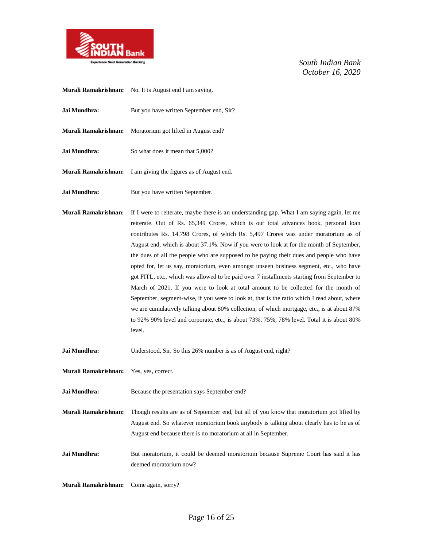

- **Murali Ramakrishnan:** No. It is August end I am saying. **Jai Mundhra:** But you have written September end, Sir? **Murali Ramakrishnan:** Moratorium got lifted in August end? **Jai Mundhra:** So what does it mean that 5,000? **Murali Ramakrishnan:** I am giving the figures as of August end. **Jai Mundhra:** But you have written September.
- **Murali Ramakrishnan:** If I were to reiterate, maybe there is an understanding gap. What I am saying again, let me reiterate. Out of Rs. 65,349 Crores, which is our total advances book, personal loan contributes Rs. 14,798 Crores, of which Rs. 5,497 Crores was under moratorium as of August end, which is about 37.1%. Now if you were to look at for the month of September, the dues of all the people who are supposed to be paying their dues and people who have opted for, let us say, moratorium, even amongst unseen business segment, etc., who have got FITL, etc., which was allowed to be paid over 7 installments starting from September to March of 2021. If you were to look at total amount to be collected for the month of September, segment-wise, if you were to look at, that is the ratio which I read about, where we are cumulatively talking about 80% collection, of which mortgage, etc., is at about 87% to 92% 90% level and corporate, etc., is about 73%, 75%, 78% level. Total it is about 80% level.

**Jai Mundhra:** Understood, Sir. So this 26% number is as of August end, right?

**Murali Ramakrishnan:** Yes, yes, correct.

**Jai Mundhra:** Because the presentation says September end?

**Murali Ramakrishnan:** Though results are as of September end, but all of you know that moratorium got lifted by August end. So whatever moratorium book anybody is talking about clearly has to be as of August end because there is no moratorium at all in September.

Jai Mundhra: But moratorium, it could be deemed moratorium because Supreme Court has said it has deemed moratorium now?

**Murali Ramakrishnan:** Come again, sorry?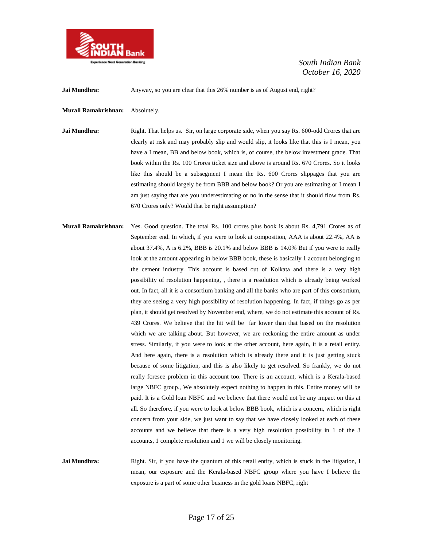

**Jai Mundhra:** Anyway, so you are clear that this 26% number is as of August end, right?

**Murali Ramakrishnan:** Absolutely.

**Jai Mundhra:** Right. That helps us. Sir, on large corporate side, when you say Rs. 600-odd Crores that are clearly at risk and may probably slip and would slip, it looks like that this is I mean, you have a I mean, BB and below book, which is, of course, the below investment grade. That book within the Rs. 100 Crores ticket size and above is around Rs. 670 Crores. So it looks like this should be a subsegment I mean the Rs. 600 Crores slippages that you are estimating should largely be from BBB and below book? Or you are estimating or I mean I am just saying that are you underestimating or no in the sense that it should flow from Rs. 670 Crores only? Would that be right assumption?

**Murali Ramakrishnan:** Yes. Good question. The total Rs. 100 crores plus book is about Rs. 4,791 Crores as of September end. In which, if you were to look at composition, AAA is about 22.4%, AA is about 37.4%, A is 6.2%, BBB is 20.1% and below BBB is 14.0% But if you were to really look at the amount appearing in below BBB book, these is basically 1 account belonging to the cement industry. This account is based out of Kolkata and there is a very high possibility of resolution happening, , there is a resolution which is already being worked out. In fact, all it is a consortium banking and all the banks who are part of this consortium, they are seeing a very high possibility of resolution happening. In fact, if things go as per plan, it should get resolved by November end, where, we do not estimate this account of Rs. 439 Crores. We believe that the hit will be far lower than that based on the resolution which we are talking about. But however, we are reckoning the entire amount as under stress. Similarly, if you were to look at the other account, here again, it is a retail entity. And here again, there is a resolution which is already there and it is just getting stuck because of some litigation, and this is also likely to get resolved. So frankly, we do not really foresee problem in this account too. There is an account, which is a Kerala-based large NBFC group., We absolutely expect nothing to happen in this. Entire money will be paid. It is a Gold loan NBFC and we believe that there would not be any impact on this at all. So therefore, if you were to look at below BBB book, which is a concern, which is right concern from your side, we just want to say that we have closely looked at each of these accounts and we believe that there is a very high resolution possibility in 1 of the 3 accounts, 1 complete resolution and 1 we will be closely monitoring.

**Jai Mundhra:** Right. Sir, if you have the quantum of this retail entity, which is stuck in the litigation, I mean, our exposure and the Kerala-based NBFC group where you have I believe the exposure is a part of some other business in the gold loans NBFC, right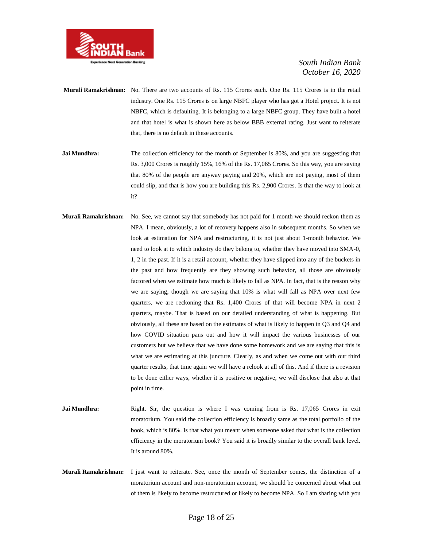

- **Murali Ramakrishnan:** No. There are two accounts of Rs. 115 Crores each. One Rs. 115 Crores is in the retail industry. One Rs. 115 Crores is on large NBFC player who has got a Hotel project. It is not NBFC, which is defaulting. It is belonging to a large NBFC group. They have built a hotel and that hotel is what is shown here as below BBB external rating. Just want to reiterate that, there is no default in these accounts.
- **Jai Mundhra:** The collection efficiency for the month of September is 80%, and you are suggesting that Rs. 3,000 Crores is roughly 15%, 16% of the Rs. 17,065 Crores. So this way, you are saying that 80% of the people are anyway paying and 20%, which are not paying, most of them could slip, and that is how you are building this Rs. 2,900 Crores. Is that the way to look at it?
- **Murali Ramakrishnan:** No. See, we cannot say that somebody has not paid for 1 month we should reckon them as NPA. I mean, obviously, a lot of recovery happens also in subsequent months. So when we look at estimation for NPA and restructuring, it is not just about 1-month behavior. We need to look at to which industry do they belong to, whether they have moved into SMA-0, 1, 2 in the past. If it is a retail account, whether they have slipped into any of the buckets in the past and how frequently are they showing such behavior, all those are obviously factored when we estimate how much is likely to fall as NPA. In fact, that is the reason why we are saying, though we are saying that 10% is what will fall as NPA over next few quarters, we are reckoning that Rs. 1,400 Crores of that will become NPA in next 2 quarters, maybe. That is based on our detailed understanding of what is happening. But obviously, all these are based on the estimates of what is likely to happen in Q3 and Q4 and how COVID situation pans out and how it will impact the various businesses of our customers but we believe that we have done some homework and we are saying that this is what we are estimating at this juncture. Clearly, as and when we come out with our third quarter results, that time again we will have a relook at all of this. And if there is a revision to be done either ways, whether it is positive or negative, we will disclose that also at that point in time.
- **Jai Mundhra:** Right. Sir, the question is where I was coming from is Rs. 17,065 Crores in exit moratorium. You said the collection efficiency is broadly same as the total portfolio of the book, which is 80%. Is that what you meant when someone asked that what is the collection efficiency in the moratorium book? You said it is broadly similar to the overall bank level. It is around 80%.
- **Murali Ramakrishnan:** I just want to reiterate. See, once the month of September comes, the distinction of a moratorium account and non-moratorium account, we should be concerned about what out of them is likely to become restructured or likely to become NPA. So I am sharing with you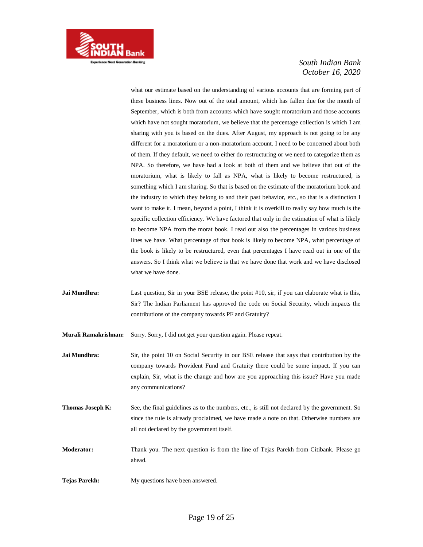

what our estimate based on the understanding of various accounts that are forming part of these business lines. Now out of the total amount, which has fallen due for the month of September, which is both from accounts which have sought moratorium and those accounts which have not sought moratorium, we believe that the percentage collection is which I am sharing with you is based on the dues. After August, my approach is not going to be any different for a moratorium or a non-moratorium account. I need to be concerned about both of them. If they default, we need to either do restructuring or we need to categorize them as NPA. So therefore, we have had a look at both of them and we believe that out of the moratorium, what is likely to fall as NPA, what is likely to become restructured, is something which I am sharing. So that is based on the estimate of the moratorium book and the industry to which they belong to and their past behavior, etc., so that is a distinction I want to make it. I mean, beyond a point, I think it is overkill to really say how much is the specific collection efficiency. We have factored that only in the estimation of what is likely to become NPA from the morat book. I read out also the percentages in various business lines we have. What percentage of that book is likely to become NPA, what percentage of the book is likely to be restructured, even that percentages I have read out in one of the answers. So I think what we believe is that we have done that work and we have disclosed what we have done.

**Jai Mundhra:** Last question, Sir in your BSE release, the point #10, sir, if you can elaborate what is this, Sir? The Indian Parliament has approved the code on Social Security, which impacts the contributions of the company towards PF and Gratuity?

**Murali Ramakrishnan:** Sorry. Sorry, I did not get your question again. Please repeat.

**Jai Mundhra:** Sir, the point 10 on Social Security in our BSE release that says that contribution by the company towards Provident Fund and Gratuity there could be some impact. If you can explain, Sir, what is the change and how are you approaching this issue? Have you made any communications?

- **Thomas Joseph K:** See, the final guidelines as to the numbers, etc., is still not declared by the government. So since the rule is already proclaimed, we have made a note on that. Otherwise numbers are all not declared by the government itself.
- **Moderator:** Thank you. The next question is from the line of Tejas Parekh from Citibank. Please go ahead.
- **Tejas Parekh:** My questions have been answered.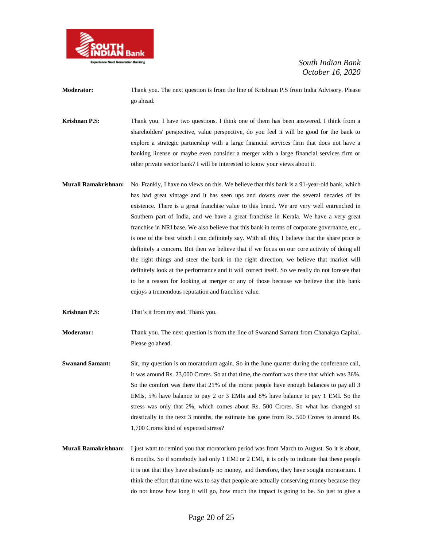

- **Moderator:** Thank you. The next question is from the line of Krishnan P.S from India Advisory. Please go ahead.
- **Krishnan P.S:** Thank you. I have two questions. I think one of them has been answered. I think from a shareholders' perspective, value perspective, do you feel it will be good for the bank to explore a strategic partnership with a large financial services firm that does not have a banking license or maybe even consider a merger with a large financial services firm or other private sector bank? I will be interested to know your views about it.
- **Murali Ramakrishnan:** No. Frankly, I have no views on this. We believe that this bank is a 91-year-old bank, which has had great vintage and it has seen ups and downs over the several decades of its existence. There is a great franchise value to this brand. We are very well entrenched in Southern part of India, and we have a great franchise in Kerala. We have a very great franchise in NRI base. We also believe that this bank in terms of corporate governance, etc., is one of the best which I can definitely say. With all this, I believe that the share price is definitely a concern. But then we believe that if we focus on our core activity of doing all the right things and steer the bank in the right direction, we believe that market will definitely look at the performance and it will correct itself. So we really do not foresee that to be a reason for looking at merger or any of those because we believe that this bank enjoys a tremendous reputation and franchise value.
- **Krishnan P.S:** That's it from my end. Thank you.

**Moderator:** Thank you. The next question is from the line of Swanand Samant from Chanakya Capital. Please go ahead.

- **Swanand Samant:** Sir, my question is on moratorium again. So in the June quarter during the conference call, it was around Rs. 23,000 Crores. So at that time, the comfort was there that which was 36%. So the comfort was there that 21% of the morat people have enough balances to pay all 3 EMIs, 5% have balance to pay 2 or 3 EMIs and 8% have balance to pay 1 EMI. So the stress was only that 2%, which comes about Rs. 500 Crores. So what has changed so drastically in the next 3 months, the estimate has gone from Rs. 500 Crores to around Rs. 1,700 Crores kind of expected stress?
- **Murali Ramakrishnan:** I just want to remind you that moratorium period was from March to August. So it is about, 6 months. So if somebody had only 1 EMI or 2 EMI, it is only to indicate that these people it is not that they have absolutely no money, and therefore, they have sought moratorium. I think the effort that time was to say that people are actually conserving money because they do not know how long it will go, how much the impact is going to be. So just to give a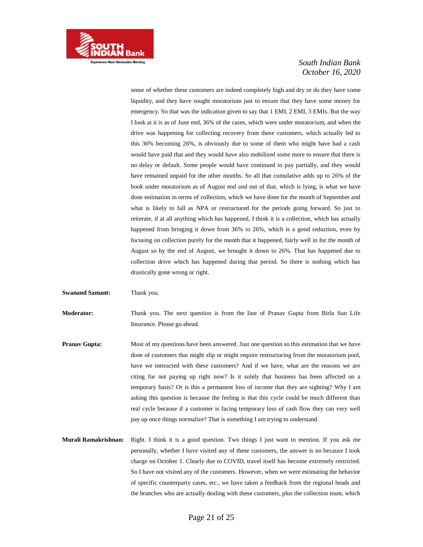

sense of whether these customers are indeed completely high and dry or do they have some liquidity, and they have sought moratorium just to ensure that they have some money for emergency. So that was the indication given to say that 1 EMI, 2 EMI, 3 EMIs. But the way I look at it is as of June end, 36% of the cases, which were under moratorium, and when the drive was happening for collecting recovery from these customers, which actually led to this 36% becoming 26%, is obviously due to some of them who might have had a cash would have paid that and they would have also mobilized some more to ensure that there is no delay or default. Some people would have continued to pay partially, and they would have remained unpaid for the other months. So all that cumulative adds up to 26% of the book under moratorium as of August end and out of that, which is lying, is what we have done estimation in terms of collection, which we have done for the month of September and what is likely to fall as NPA or restructured for the periods going forward. So just to reiterate, if at all anything which has happened, I think it is a collection, which has actually happened from bringing it down from 36% to 26%, which is a good reduction, even by focusing on collection purely for the month that it happened, fairly well in for the month of August so by the end of August, we brought it down to 26%. That has happened due to collection drive which has happened during that period. So there is nothing which has drastically gone wrong or right.

**Swanand Samant:** Thank you.

**Moderator:** Thank you. The next question is from the line of Pranav Gupta from Birla Sun Life Insurance. Please go ahead.

- **Pranav Gupta:** Most of my questions have been answered. Just one question so this estimation that we have done of customers that might slip or might require restructuring from the moratorium pool, have we interacted with these customers? And if we have, what are the reasons we are citing for not paying up right now? Is it solely that business has been affected on a temporary basis? Or is this a permanent loss of income that they are sighting? Why I am asking this question is because the feeling is that this cycle could be much different than real cycle because if a customer is facing temporary loss of cash flow they can very well pay up once things normalize? That is something I am trying to understand.
- **Murali Ramakrishnan:** Right. I think it is a good question. Two things I just want to mention. If you ask me personally, whether I have visited any of these customers, the answer is no because I took charge on October 1. Clearly due to COVID, travel itself has become extremely restricted. So I have not visited any of the customers. However, when we were estimating the behavior of specific counterparty cases, etc., we have taken a feedback from the regional heads and the branches who are actually dealing with these customers, plus the collection team, which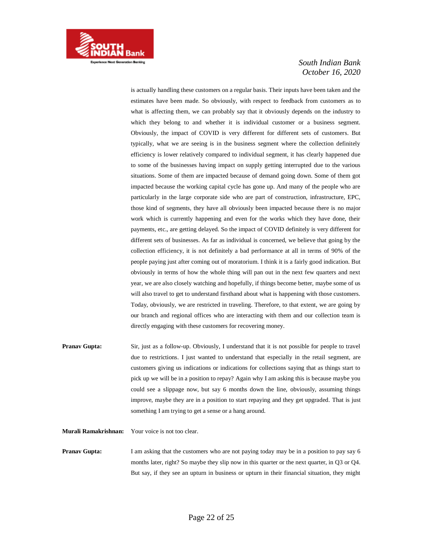

is actually handling these customers on a regular basis. Their inputs have been taken and the estimates have been made. So obviously, with respect to feedback from customers as to what is affecting them, we can probably say that it obviously depends on the industry to which they belong to and whether it is individual customer or a business segment. Obviously, the impact of COVID is very different for different sets of customers. But typically, what we are seeing is in the business segment where the collection definitely efficiency is lower relatively compared to individual segment, it has clearly happened due to some of the businesses having impact on supply getting interrupted due to the various situations. Some of them are impacted because of demand going down. Some of them got impacted because the working capital cycle has gone up. And many of the people who are particularly in the large corporate side who are part of construction, infrastructure, EPC, those kind of segments, they have all obviously been impacted because there is no major work which is currently happening and even for the works which they have done, their payments, etc., are getting delayed. So the impact of COVID definitely is very different for different sets of businesses. As far as individual is concerned, we believe that going by the collection efficiency, it is not definitely a bad performance at all in terms of 90% of the people paying just after coming out of moratorium. I think it is a fairly good indication. But obviously in terms of how the whole thing will pan out in the next few quarters and next year, we are also closely watching and hopefully, if things become better, maybe some of us will also travel to get to understand firsthand about what is happening with those customers. Today, obviously, we are restricted in traveling. Therefore, to that extent, we are going by our branch and regional offices who are interacting with them and our collection team is directly engaging with these customers for recovering money.

**Pranav Gupta:** Sir, just as a follow-up. Obviously, I understand that it is not possible for people to travel due to restrictions. I just wanted to understand that especially in the retail segment, are customers giving us indications or indications for collections saying that as things start to pick up we will be in a position to repay? Again why I am asking this is because maybe you could see a slippage now, but say 6 months down the line, obviously, assuming things improve, maybe they are in a position to start repaying and they get upgraded. That is just something I am trying to get a sense or a hang around.

#### **Murali Ramakrishnan:** Your voice is not too clear.

**Pranav Gupta:** I am asking that the customers who are not paying today may be in a position to pay say 6 months later, right? So maybe they slip now in this quarter or the next quarter, in Q3 or Q4. But say, if they see an upturn in business or upturn in their financial situation, they might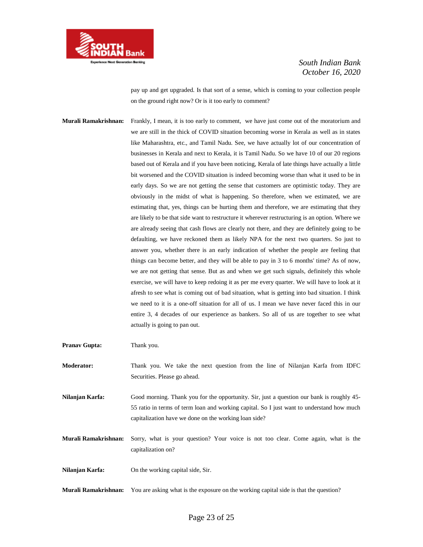

pay up and get upgraded. Is that sort of a sense, which is coming to your collection people on the ground right now? Or is it too early to comment?

**Murali Ramakrishnan:** Frankly, I mean, it is too early to comment, we have just come out of the moratorium and we are still in the thick of COVID situation becoming worse in Kerala as well as in states like Maharashtra, etc., and Tamil Nadu. See, we have actually lot of our concentration of businesses in Kerala and next to Kerala, it is Tamil Nadu. So we have 10 of our 20 regions based out of Kerala and if you have been noticing, Kerala of late things have actually a little bit worsened and the COVID situation is indeed becoming worse than what it used to be in early days. So we are not getting the sense that customers are optimistic today. They are obviously in the midst of what is happening. So therefore, when we estimated, we are estimating that, yes, things can be hurting them and therefore, we are estimating that they are likely to be that side want to restructure it wherever restructuring is an option. Where we are already seeing that cash flows are clearly not there, and they are definitely going to be defaulting, we have reckoned them as likely NPA for the next two quarters. So just to answer you, whether there is an early indication of whether the people are feeling that things can become better, and they will be able to pay in 3 to 6 months' time? As of now, we are not getting that sense. But as and when we get such signals, definitely this whole exercise, we will have to keep redoing it as per me every quarter. We will have to look at it afresh to see what is coming out of bad situation, what is getting into bad situation. I think we need to it is a one-off situation for all of us. I mean we have never faced this in our entire 3, 4 decades of our experience as bankers. So all of us are together to see what actually is going to pan out.

**Pranav Gupta:** Thank you.

**Moderator:** Thank you. We take the next question from the line of Nilanjan Karfa from IDFC Securities. Please go ahead.

**Nilanjan Karfa:** Good morning. Thank you for the opportunity. Sir, just a question our bank is roughly 45- 55 ratio in terms of term loan and working capital. So I just want to understand how much capitalization have we done on the working loan side?

**Murali Ramakrishnan:** Sorry, what is your question? Your voice is not too clear. Come again, what is the capitalization on?

**Nilanjan Karfa:** On the working capital side, Sir.

**Murali Ramakrishnan:** You are asking what is the exposure on the working capital side is that the question?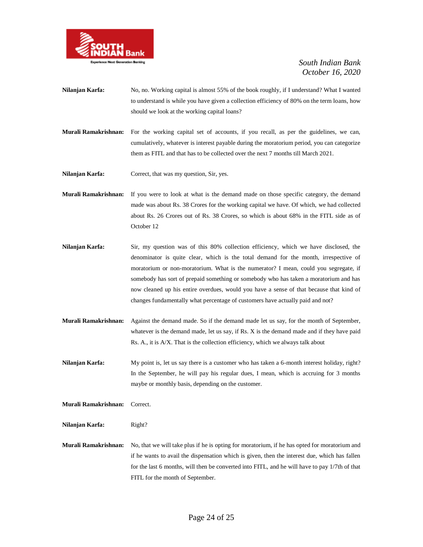

- **Nilanjan Karfa:** No, no. Working capital is almost 55% of the book roughly, if I understand? What I wanted to understand is while you have given a collection efficiency of 80% on the term loans, how should we look at the working capital loans?
- **Murali Ramakrishnan:** For the working capital set of accounts, if you recall, as per the guidelines, we can, cumulatively, whatever is interest payable during the moratorium period, you can categorize them as FITL and that has to be collected over the next 7 months till March 2021.

**Nilanjan Karfa:** Correct, that was my question, Sir, yes.

- **Murali Ramakrishnan:** If you were to look at what is the demand made on those specific category, the demand made was about Rs. 38 Crores for the working capital we have. Of which, we had collected about Rs. 26 Crores out of Rs. 38 Crores, so which is about 68% in the FITL side as of October 12
- **Nilanjan Karfa:** Sir, my question was of this 80% collection efficiency, which we have disclosed, the denominator is quite clear, which is the total demand for the month, irrespective of moratorium or non-moratorium. What is the numerator? I mean, could you segregate, if somebody has sort of prepaid something or somebody who has taken a moratorium and has now cleaned up his entire overdues, would you have a sense of that because that kind of changes fundamentally what percentage of customers have actually paid and not?
- **Murali Ramakrishnan:** Against the demand made. So if the demand made let us say, for the month of September, whatever is the demand made, let us say, if Rs. X is the demand made and if they have paid Rs. A., it is A/X. That is the collection efficiency, which we always talk about

**Nilanjan Karfa:** My point is, let us say there is a customer who has taken a 6-month interest holiday, right? In the September, he will pay his regular dues, I mean, which is accruing for 3 months maybe or monthly basis, depending on the customer.

**Murali Ramakrishnan:** Correct.

**Nilanjan Karfa:** Right?

**Murali Ramakrishnan:** No, that we will take plus if he is opting for moratorium, if he has opted for moratorium and if he wants to avail the dispensation which is given, then the interest due, which has fallen for the last 6 months, will then be converted into FITL, and he will have to pay 1/7th of that FITL for the month of September.